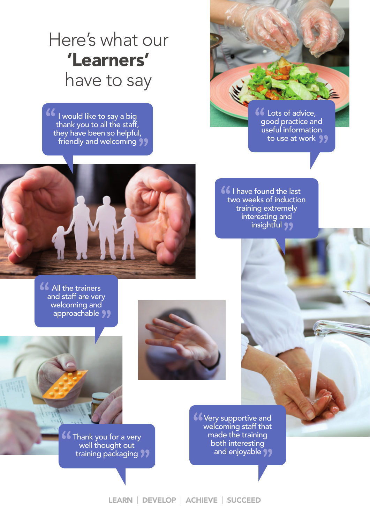## Here's what our 'Learners' have to say

I would like to say a big thank you to all the staff, they have been so helpful, friendly and welcoming **""**



**66** I have found the last<br>two weeks of induction two weeks of induction training extremely interesting and insightful **"**



**46** All the trainers and staff are very and staff are very welcoming and approachable ??<br>————————————————————

> Very supportive and **46 Very supportive and welcoming staff that** made the training both interesting and enjoyable ??<br>————————————————————

**46** Thank you for a very<br>well thought out well thought out training packaging **"**